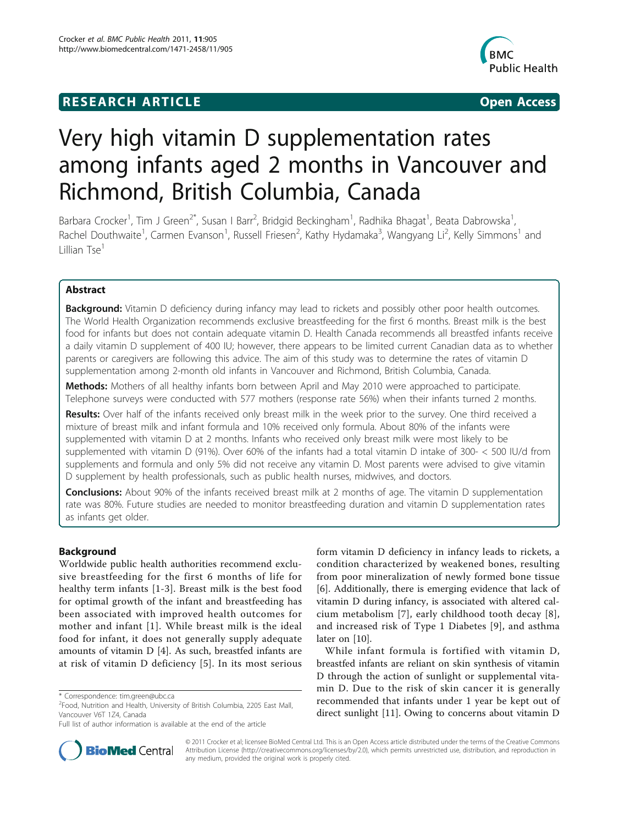## **RESEARCH ARTICLE Example 2014 CONSUMING ACCESS**



# Very high vitamin D supplementation rates among infants aged 2 months in Vancouver and Richmond, British Columbia, Canada

Barbara Crocker<sup>1</sup>, Tim J Green<sup>2\*</sup>, Susan I Barr<sup>2</sup>, Bridgid Beckingham<sup>1</sup>, Radhika Bhagat<sup>1</sup>, Beata Dabrowska<sup>1</sup> , Rachel Douthwaite<sup>1</sup>, Carmen Evanson<sup>1</sup>, Russell Friesen<sup>2</sup>, Kathy Hydamaka<sup>3</sup>, Wangyang Li<sup>2</sup>, Kelly Simmons<sup>1</sup> and Lillian Tse<sup>1</sup>

## Abstract

Background: Vitamin D deficiency during infancy may lead to rickets and possibly other poor health outcomes. The World Health Organization recommends exclusive breastfeeding for the first 6 months. Breast milk is the best food for infants but does not contain adequate vitamin D. Health Canada recommends all breastfed infants receive a daily vitamin D supplement of 400 IU; however, there appears to be limited current Canadian data as to whether parents or caregivers are following this advice. The aim of this study was to determine the rates of vitamin D supplementation among 2-month old infants in Vancouver and Richmond, British Columbia, Canada.

Methods: Mothers of all healthy infants born between April and May 2010 were approached to participate. Telephone surveys were conducted with 577 mothers (response rate 56%) when their infants turned 2 months.

Results: Over half of the infants received only breast milk in the week prior to the survey. One third received a mixture of breast milk and infant formula and 10% received only formula. About 80% of the infants were supplemented with vitamin D at 2 months. Infants who received only breast milk were most likely to be supplemented with vitamin D (91%). Over 60% of the infants had a total vitamin D intake of 300- < 500 IU/d from supplements and formula and only 5% did not receive any vitamin D. Most parents were advised to give vitamin D supplement by health professionals, such as public health nurses, midwives, and doctors.

**Conclusions:** About 90% of the infants received breast milk at 2 months of age. The vitamin D supplementation rate was 80%. Future studies are needed to monitor breastfeeding duration and vitamin D supplementation rates as infants get older.

## Background

Worldwide public health authorities recommend exclusive breastfeeding for the first 6 months of life for healthy term infants [[1-3\]](#page-7-0). Breast milk is the best food for optimal growth of the infant and breastfeeding has been associated with improved health outcomes for mother and infant [[1\]](#page-7-0). While breast milk is the ideal food for infant, it does not generally supply adequate amounts of vitamin D [[4\]](#page-7-0). As such, breastfed infants are at risk of vitamin D deficiency [\[5\]](#page-7-0). In its most serious

form vitamin D deficiency in infancy leads to rickets, a condition characterized by weakened bones, resulting from poor mineralization of newly formed bone tissue [[6\]](#page-7-0). Additionally, there is emerging evidence that lack of vitamin D during infancy, is associated with altered calcium metabolism [[7](#page-7-0)], early childhood tooth decay [[8](#page-7-0)], and increased risk of Type 1 Diabetes [[9](#page-7-0)], and asthma later on [[10\]](#page-7-0).

While infant formula is fortified with vitamin D, breastfed infants are reliant on skin synthesis of vitamin D through the action of sunlight or supplemental vitamin D. Due to the risk of skin cancer it is generally recommended that infants under 1 year be kept out of direct sunlight [[11\]](#page-7-0). Owing to concerns about vitamin D



© 2011 Crocker et al; licensee BioMed Central Ltd. This is an Open Access article distributed under the terms of the Creative Commons Attribution License [\(http://creativecommons.org/licenses/by/2.0](http://creativecommons.org/licenses/by/2.0)), which permits unrestricted use, distribution, and reproduction in any medium, provided the original work is properly cited.

<sup>\*</sup> Correspondence: [tim.green@ubc.ca](mailto:tim.green@ubc.ca)

<sup>2</sup> Food, Nutrition and Health, University of British Columbia, 2205 East Mall, Vancouver V6T 1Z4, Canada

Full list of author information is available at the end of the article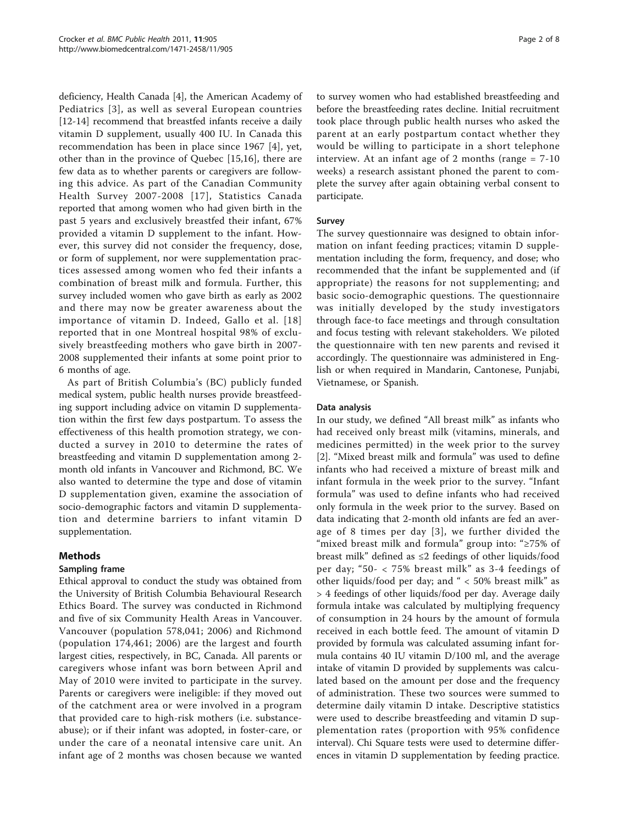deficiency, Health Canada [\[4](#page-7-0)], the American Academy of Pediatrics [[3\]](#page-7-0), as well as several European countries [[12-14\]](#page-7-0) recommend that breastfed infants receive a daily vitamin D supplement, usually 400 IU. In Canada this recommendation has been in place since 1967 [[4\]](#page-7-0), yet, other than in the province of Quebec [[15,16](#page-7-0)], there are few data as to whether parents or caregivers are following this advice. As part of the Canadian Community Health Survey 2007-2008 [[17\]](#page-7-0), Statistics Canada reported that among women who had given birth in the past 5 years and exclusively breastfed their infant, 67% provided a vitamin D supplement to the infant. However, this survey did not consider the frequency, dose, or form of supplement, nor were supplementation practices assessed among women who fed their infants a combination of breast milk and formula. Further, this survey included women who gave birth as early as 2002 and there may now be greater awareness about the importance of vitamin D. Indeed, Gallo et al. [[18](#page-7-0)] reported that in one Montreal hospital 98% of exclusively breastfeeding mothers who gave birth in 2007- 2008 supplemented their infants at some point prior to 6 months of age.

As part of British Columbia's (BC) publicly funded medical system, public health nurses provide breastfeeding support including advice on vitamin D supplementation within the first few days postpartum. To assess the effectiveness of this health promotion strategy, we conducted a survey in 2010 to determine the rates of breastfeeding and vitamin D supplementation among 2 month old infants in Vancouver and Richmond, BC. We also wanted to determine the type and dose of vitamin D supplementation given, examine the association of socio-demographic factors and vitamin D supplementation and determine barriers to infant vitamin D supplementation.

## Methods

## Sampling frame

Ethical approval to conduct the study was obtained from the University of British Columbia Behavioural Research Ethics Board. The survey was conducted in Richmond and five of six Community Health Areas in Vancouver. Vancouver (population 578,041; 2006) and Richmond (population 174,461; 2006) are the largest and fourth largest cities, respectively, in BC, Canada. All parents or caregivers whose infant was born between April and May of 2010 were invited to participate in the survey. Parents or caregivers were ineligible: if they moved out of the catchment area or were involved in a program that provided care to high-risk mothers (i.e. substanceabuse); or if their infant was adopted, in foster-care, or under the care of a neonatal intensive care unit. An infant age of 2 months was chosen because we wanted

to survey women who had established breastfeeding and before the breastfeeding rates decline. Initial recruitment took place through public health nurses who asked the parent at an early postpartum contact whether they would be willing to participate in a short telephone interview. At an infant age of 2 months (range = 7-10 weeks) a research assistant phoned the parent to complete the survey after again obtaining verbal consent to participate.

## Survey

The survey questionnaire was designed to obtain information on infant feeding practices; vitamin D supplementation including the form, frequency, and dose; who recommended that the infant be supplemented and (if appropriate) the reasons for not supplementing; and basic socio-demographic questions. The questionnaire was initially developed by the study investigators through face-to face meetings and through consultation and focus testing with relevant stakeholders. We piloted the questionnaire with ten new parents and revised it accordingly. The questionnaire was administered in English or when required in Mandarin, Cantonese, Punjabi, Vietnamese, or Spanish.

### Data analysis

In our study, we defined "All breast milk" as infants who had received only breast milk (vitamins, minerals, and medicines permitted) in the week prior to the survey [[2\]](#page-7-0). "Mixed breast milk and formula" was used to define infants who had received a mixture of breast milk and infant formula in the week prior to the survey. "Infant formula" was used to define infants who had received only formula in the week prior to the survey. Based on data indicating that 2-month old infants are fed an average of 8 times per day [[3](#page-7-0)], we further divided the "mixed breast milk and formula" group into: "≥75% of breast milk" defined as ≤2 feedings of other liquids/food per day; "50- < 75% breast milk" as 3-4 feedings of other liquids/food per day; and " < 50% breast milk" as > 4 feedings of other liquids/food per day. Average daily formula intake was calculated by multiplying frequency of consumption in 24 hours by the amount of formula received in each bottle feed. The amount of vitamin D provided by formula was calculated assuming infant formula contains 40 IU vitamin D/100 ml, and the average intake of vitamin D provided by supplements was calculated based on the amount per dose and the frequency of administration. These two sources were summed to determine daily vitamin D intake. Descriptive statistics were used to describe breastfeeding and vitamin D supplementation rates (proportion with 95% confidence interval). Chi Square tests were used to determine differences in vitamin D supplementation by feeding practice.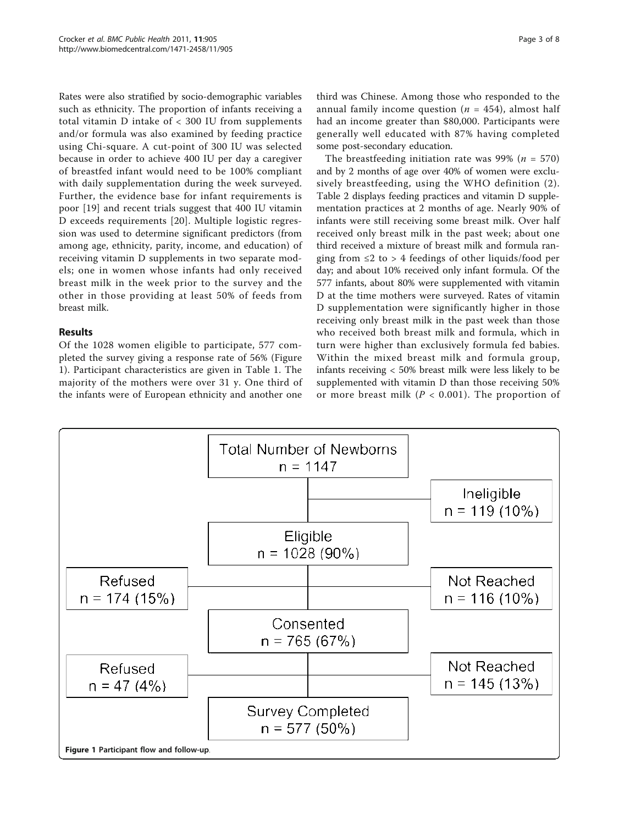Rates were also stratified by socio-demographic variables such as ethnicity. The proportion of infants receiving a total vitamin D intake of < 300 IU from supplements and/or formula was also examined by feeding practice using Chi-square. A cut-point of 300 IU was selected because in order to achieve 400 IU per day a caregiver of breastfed infant would need to be 100% compliant with daily supplementation during the week surveyed. Further, the evidence base for infant requirements is poor [[19](#page-7-0)] and recent trials suggest that 400 IU vitamin D exceeds requirements [\[20\]](#page-7-0). Multiple logistic regression was used to determine significant predictors (from among age, ethnicity, parity, income, and education) of receiving vitamin D supplements in two separate models; one in women whose infants had only received breast milk in the week prior to the survey and the other in those providing at least 50% of feeds from breast milk.

## Results

Of the 1028 women eligible to participate, 577 completed the survey giving a response rate of 56% (Figure 1). Participant characteristics are given in Table [1](#page-3-0). The majority of the mothers were over 31 y. One third of the infants were of European ethnicity and another one

third was Chinese. Among those who responded to the annual family income question ( $n = 454$ ), almost half had an income greater than \$80,000. Participants were generally well educated with 87% having completed some post-secondary education.

The breastfeeding initiation rate was 99% ( $n = 570$ ) and by 2 months of age over 40% of women were exclusively breastfeeding, using the WHO definition (2). Table [2](#page-4-0) displays feeding practices and vitamin D supplementation practices at 2 months of age. Nearly 90% of infants were still receiving some breast milk. Over half received only breast milk in the past week; about one third received a mixture of breast milk and formula ranging from  $\leq 2$  to  $> 4$  feedings of other liquids/food per day; and about 10% received only infant formula. Of the 577 infants, about 80% were supplemented with vitamin D at the time mothers were surveyed. Rates of vitamin D supplementation were significantly higher in those receiving only breast milk in the past week than those who received both breast milk and formula, which in turn were higher than exclusively formula fed babies. Within the mixed breast milk and formula group, infants receiving < 50% breast milk were less likely to be supplemented with vitamin D than those receiving 50% or more breast milk ( $P < 0.001$ ). The proportion of

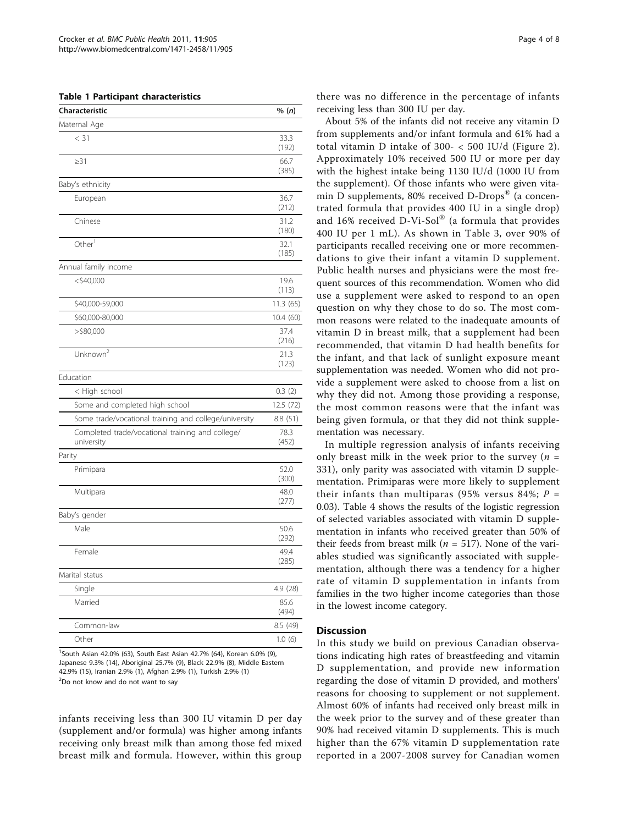#### <span id="page-3-0"></span>Table 1 Participant characteristics

| Characteristic                                                 | % (n)         |
|----------------------------------------------------------------|---------------|
| Maternal Age                                                   |               |
| $<$ 31                                                         | 33.3<br>(192) |
| $\geq$ 31                                                      | 66.7<br>(385) |
| Baby's ethnicity                                               |               |
| European                                                       | 36.7<br>(212) |
| Chinese                                                        | 31.2<br>(180) |
| Other <sup>1</sup>                                             | 32.1<br>(185) |
| Annual family income                                           |               |
| $<$ \$40,000                                                   | 19.6<br>(113) |
| \$40,000-59,000                                                | 11.3 (65)     |
| \$60,000-80,000                                                | 10.4 (60)     |
| $>$ \$80,000                                                   | 37.4<br>(216) |
| Unknown <sup>2</sup>                                           | 21.3<br>(123) |
| Education                                                      |               |
| < High school                                                  | 0.3(2)        |
| Some and completed high school                                 | 12.5 (72)     |
| Some trade/vocational training and college/university          | 8.8(51)       |
| Completed trade/vocational training and college/<br>university | 78.3<br>(452) |
| Parity                                                         |               |
| Primipara                                                      | 52.0<br>(300) |
| Multipara                                                      | 48.0<br>(277) |
| Baby's gender                                                  |               |
| Male                                                           | 50.6<br>(292) |
| Female                                                         | 49.4<br>(285) |
| Marital status                                                 |               |
| Single                                                         | 4.9 (28)      |
| Married                                                        | 85.6<br>(494) |
| Common-law                                                     | 8.5 (49)      |
| Other                                                          | 1.0(6)        |

1 South Asian 42.0% (63), South East Asian 42.7% (64), Korean 6.0% (9), Japanese 9.3% (14), Aboriginal 25.7% (9), Black 22.9% (8), Middle Eastern 42.9% (15), Iranian 2.9% (1), Afghan 2.9% (1), Turkish 2.9% (1) <sup>2</sup>Do not know and do not want to say

infants receiving less than 300 IU vitamin D per day (supplement and/or formula) was higher among infants receiving only breast milk than among those fed mixed breast milk and formula. However, within this group there was no difference in the percentage of infants receiving less than 300 IU per day.

About 5% of the infants did not receive any vitamin D from supplements and/or infant formula and 61% had a total vitamin D intake of 300- < 500 IU/d (Figure [2\)](#page-4-0). Approximately 10% received 500 IU or more per day with the highest intake being 1130 IU/d (1000 IU from the supplement). Of those infants who were given vitamin D supplements, 80% received D-Drops® (a concentrated formula that provides 400 IU in a single drop) and 16% received D-Vi-Sol® (a formula that provides 400 IU per 1 mL). As shown in Table [3,](#page-5-0) over 90% of participants recalled receiving one or more recommendations to give their infant a vitamin D supplement. Public health nurses and physicians were the most frequent sources of this recommendation. Women who did use a supplement were asked to respond to an open question on why they chose to do so. The most common reasons were related to the inadequate amounts of vitamin D in breast milk, that a supplement had been recommended, that vitamin D had health benefits for the infant, and that lack of sunlight exposure meant supplementation was needed. Women who did not provide a supplement were asked to choose from a list on why they did not. Among those providing a response, the most common reasons were that the infant was being given formula, or that they did not think supplementation was necessary.

In multiple regression analysis of infants receiving only breast milk in the week prior to the survey ( $n =$ 331), only parity was associated with vitamin D supplementation. Primiparas were more likely to supplement their infants than multiparas (95% versus 84%;  $P =$ 0.03). Table [4](#page-6-0) shows the results of the logistic regression of selected variables associated with vitamin D supplementation in infants who received greater than 50% of their feeds from breast milk ( $n = 517$ ). None of the variables studied was significantly associated with supplementation, although there was a tendency for a higher rate of vitamin D supplementation in infants from families in the two higher income categories than those in the lowest income category.

#### **Discussion**

In this study we build on previous Canadian observations indicating high rates of breastfeeding and vitamin D supplementation, and provide new information regarding the dose of vitamin D provided, and mothers' reasons for choosing to supplement or not supplement. Almost 60% of infants had received only breast milk in the week prior to the survey and of these greater than 90% had received vitamin D supplements. This is much higher than the 67% vitamin D supplementation rate reported in a 2007-2008 survey for Canadian women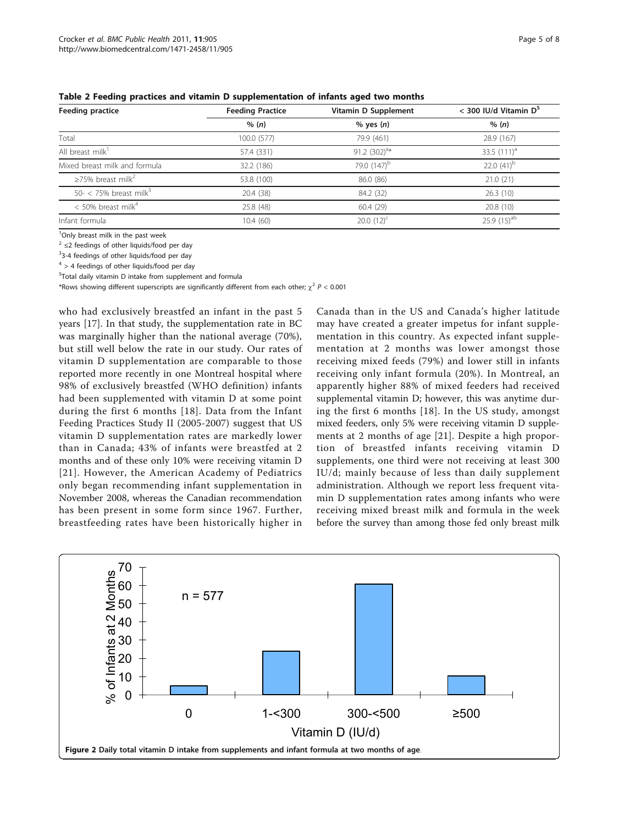| Feeding practice                    | Vitamin D Supplement<br><b>Feeding Practice</b> |                         | $<$ 300 IU/d Vitamin D <sup>5</sup> |  |  |
|-------------------------------------|-------------------------------------------------|-------------------------|-------------------------------------|--|--|
|                                     | % (n)                                           | $%$ yes $(n)$           | % (n)                               |  |  |
| Total                               | 100.0 (577)                                     | 79.9 (461)              | 28.9 (167)                          |  |  |
| All breast milk <sup>1</sup>        | 57.4 (331)                                      | 91.2 $(302)^{a*}$       | 33.5 $(111)^a$                      |  |  |
| Mixed breast milk and formula       | 32.2 (186)                                      | 79.0 (147) <sup>b</sup> | 22.0 $(41)^{b}$                     |  |  |
| $\geq$ 75% breast milk <sup>2</sup> | 53.8 (100)                                      | 86.0 (86)               | 21.0(21)                            |  |  |
| 50- < 75% breast milk <sup>3</sup>  | 20.4 (38)                                       | 84.2 (32)               | 26.3(10)                            |  |  |
| $<$ 50% breast milk <sup>4</sup>    | 25.8 (48)                                       | 60.4(29)                | 20.8(10)                            |  |  |
| Infant formula                      | 10.4(60)                                        | 20.0 $(12)^c$           | $25.9(15)$ <sup>ab</sup>            |  |  |

<span id="page-4-0"></span>Table 2 Feeding practices and vitamin D supplementation of infants aged two months

<sup>1</sup>Only breast milk in the past week

<sup>2</sup> ≤2 feedings of other liquids/food per day

<sup>3</sup>3-4 feedings of other liquids/food per day

 $4 > 4$  feedings of other liquids/food per day

5 Total daily vitamin D intake from supplement and formula

\*Rows showing different superscripts are significantly different from each other;  $\chi^2$  P < 0.001

who had exclusively breastfed an infant in the past 5 years [[17](#page-7-0)]. In that study, the supplementation rate in BC was marginally higher than the national average (70%), but still well below the rate in our study. Our rates of vitamin D supplementation are comparable to those reported more recently in one Montreal hospital where 98% of exclusively breastfed (WHO definition) infants had been supplemented with vitamin D at some point during the first 6 months [[18\]](#page-7-0). Data from the Infant Feeding Practices Study II (2005-2007) suggest that US vitamin D supplementation rates are markedly lower than in Canada; 43% of infants were breastfed at 2 months and of these only 10% were receiving vitamin D [[21\]](#page-7-0). However, the American Academy of Pediatrics only began recommending infant supplementation in November 2008, whereas the Canadian recommendation has been present in some form since 1967. Further, breastfeeding rates have been historically higher in

Canada than in the US and Canada's higher latitude may have created a greater impetus for infant supplementation in this country. As expected infant supplementation at 2 months was lower amongst those receiving mixed feeds (79%) and lower still in infants receiving only infant formula (20%). In Montreal, an apparently higher 88% of mixed feeders had received supplemental vitamin D; however, this was anytime during the first 6 months [[18\]](#page-7-0). In the US study, amongst mixed feeders, only 5% were receiving vitamin D supplements at 2 months of age [[21\]](#page-7-0). Despite a high proportion of breastfed infants receiving vitamin D supplements, one third were not receiving at least 300 IU/d; mainly because of less than daily supplement administration. Although we report less frequent vitamin D supplementation rates among infants who were receiving mixed breast milk and formula in the week before the survey than among those fed only breast milk

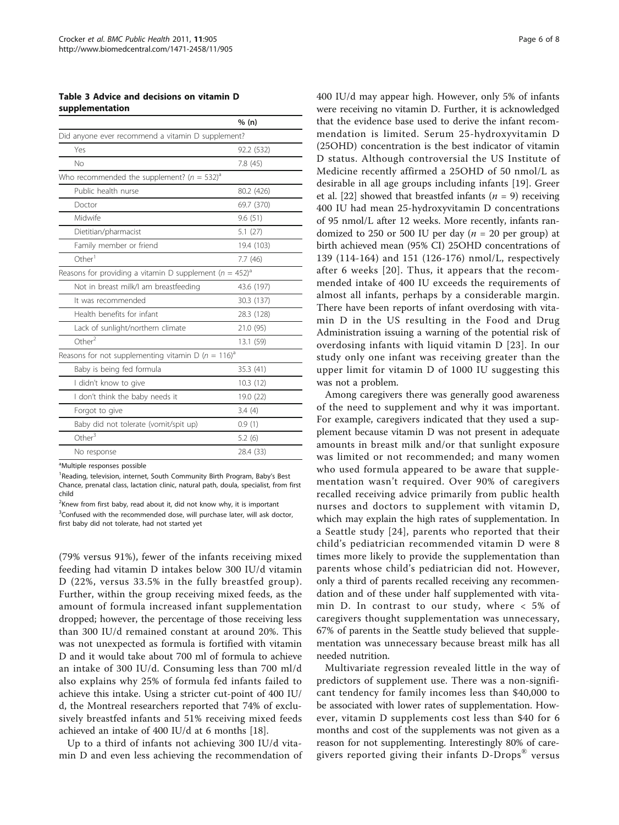<span id="page-5-0"></span>Table 3 Advice and decisions on vitamin D supplementation

|                                                                         | % (n)      |
|-------------------------------------------------------------------------|------------|
| Did anyone ever recommend a vitamin D supplement?                       |            |
| Yes                                                                     | 92.2 (532) |
| No                                                                      | 7.8(45)    |
| Who recommended the supplement? $(n = 532)^{a}$                         |            |
| Public health nurse                                                     | 80.2 (426) |
| Doctor                                                                  | 69.7 (370) |
| Midwife                                                                 | 9.6(51)    |
| Dietitian/pharmacist                                                    | 5.1(27)    |
| Family member or friend                                                 | 19.4 (103) |
| Other <sup>1</sup>                                                      | 7.7(46)    |
| Reasons for providing a vitamin D supplement ( $n = 452$ ) <sup>a</sup> |            |
| Not in breast milk/I am breastfeeding                                   | 43.6 (197) |
| It was recommended                                                      | 30.3 (137) |
| Health benefits for infant                                              | 28.3 (128) |
| Lack of sunlight/northern climate                                       | 21.0 (95)  |
| Other <sup>2</sup>                                                      | 13.1 (59)  |
| Reasons for not supplementing vitamin D ( $n = 116$ ) <sup>a</sup>      |            |
| Baby is being fed formula                                               | 35.3 (41)  |
| I didn't know to give                                                   | 10.3(12)   |
| I don't think the baby needs it                                         | 19.0 (22)  |
| Forgot to give                                                          | 3.4(4)     |
| Baby did not tolerate (vomit/spit up)                                   | 0.9(1)     |
| Other $3$                                                               | 5.2(6)     |
| No response                                                             | 28.4 (33)  |

<sup>a</sup>Multiple responses possible

<sup>1</sup> Reading, television, internet, South Community Birth Program, Baby's Best Chance, prenatal class, lactation clinic, natural path, doula, specialist, from first child

 $2$ Knew from first baby, read about it, did not know why, it is important <sup>3</sup>Confused with the recommended dose, will purchase later, will ask doctor, first baby did not tolerate, had not started yet

(79% versus 91%), fewer of the infants receiving mixed feeding had vitamin D intakes below 300 IU/d vitamin D (22%, versus 33.5% in the fully breastfed group). Further, within the group receiving mixed feeds, as the amount of formula increased infant supplementation dropped; however, the percentage of those receiving less than 300 IU/d remained constant at around 20%. This was not unexpected as formula is fortified with vitamin D and it would take about 700 ml of formula to achieve an intake of 300 IU/d. Consuming less than 700 ml/d also explains why 25% of formula fed infants failed to achieve this intake. Using a stricter cut-point of 400 IU/ d, the Montreal researchers reported that 74% of exclusively breastfed infants and 51% receiving mixed feeds achieved an intake of 400 IU/d at 6 months [\[18](#page-7-0)].

Up to a third of infants not achieving 300 IU/d vitamin D and even less achieving the recommendation of 400 IU/d may appear high. However, only 5% of infants were receiving no vitamin D. Further, it is acknowledged that the evidence base used to derive the infant recommendation is limited. Serum 25-hydroxyvitamin D (25OHD) concentration is the best indicator of vitamin D status. Although controversial the US Institute of Medicine recently affirmed a 25OHD of 50 nmol/L as desirable in all age groups including infants [[19\]](#page-7-0). Greer et al. [[22\]](#page-7-0) showed that breastfed infants ( $n = 9$ ) receiving 400 IU had mean 25-hydroxyvitamin D concentrations of 95 nmol/L after 12 weeks. More recently, infants randomized to 250 or 500 IU per day ( $n = 20$  per group) at birth achieved mean (95% CI) 25OHD concentrations of 139 (114-164) and 151 (126-176) nmol/L, respectively after 6 weeks [[20\]](#page-7-0). Thus, it appears that the recommended intake of 400 IU exceeds the requirements of almost all infants, perhaps by a considerable margin. There have been reports of infant overdosing with vitamin D in the US resulting in the Food and Drug Administration issuing a warning of the potential risk of overdosing infants with liquid vitamin D [[23\]](#page-7-0). In our study only one infant was receiving greater than the upper limit for vitamin D of 1000 IU suggesting this was not a problem.

Among caregivers there was generally good awareness of the need to supplement and why it was important. For example, caregivers indicated that they used a supplement because vitamin D was not present in adequate amounts in breast milk and/or that sunlight exposure was limited or not recommended; and many women who used formula appeared to be aware that supplementation wasn't required. Over 90% of caregivers recalled receiving advice primarily from public health nurses and doctors to supplement with vitamin D, which may explain the high rates of supplementation. In a Seattle study [[24\]](#page-7-0), parents who reported that their child's pediatrician recommended vitamin D were 8 times more likely to provide the supplementation than parents whose child's pediatrician did not. However, only a third of parents recalled receiving any recommendation and of these under half supplemented with vitamin D. In contrast to our study, where < 5% of caregivers thought supplementation was unnecessary, 67% of parents in the Seattle study believed that supplementation was unnecessary because breast milk has all needed nutrition.

Multivariate regression revealed little in the way of predictors of supplement use. There was a non-significant tendency for family incomes less than \$40,000 to be associated with lower rates of supplementation. However, vitamin D supplements cost less than \$40 for 6 months and cost of the supplements was not given as a reason for not supplementing. Interestingly 80% of caregivers reported giving their infants D-Drops® versus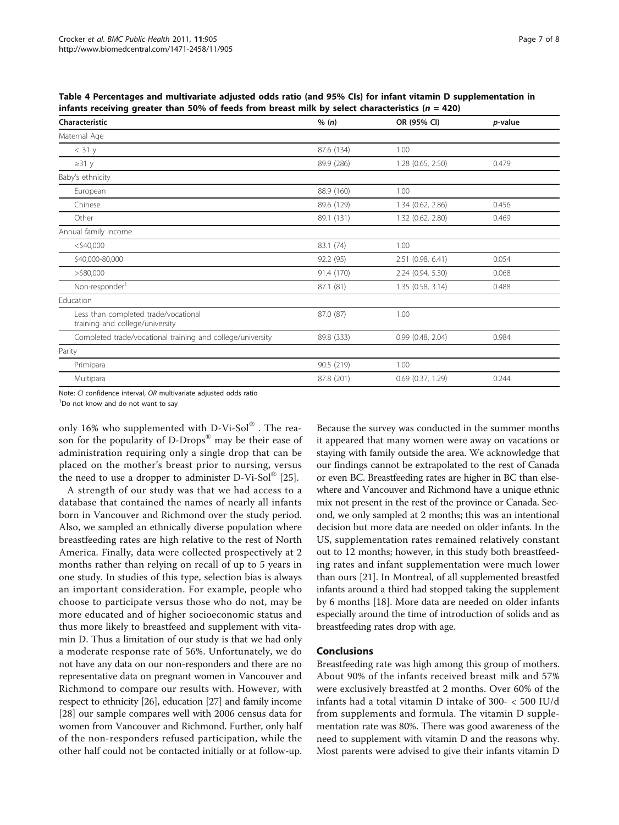<span id="page-6-0"></span>Table 4 Percentages and multivariate adjusted odds ratio (and 95% CIs) for infant vitamin D supplementation in infants receiving greater than 50% of feeds from breast milk by select characteristics ( $n = 420$ )

| Characteristic                                                          | % (n)      | OR (95% CI)           | p-value |
|-------------------------------------------------------------------------|------------|-----------------------|---------|
| Maternal Age                                                            |            |                       |         |
| $<$ 31 $y$                                                              | 87.6 (134) | 1.00                  |         |
| $\geq$ 31 y                                                             | 89.9 (286) | 1.28 (0.65, 2.50)     | 0.479   |
| Baby's ethnicity                                                        |            |                       |         |
| European                                                                | 88.9 (160) | 1.00                  |         |
| Chinese                                                                 | 89.6 (129) | 1.34 (0.62, 2.86)     | 0.456   |
| Other                                                                   | 89.1 (131) | 1.32 (0.62, 2.80)     | 0.469   |
| Annual family income                                                    |            |                       |         |
| $<$ \$40,000                                                            | 83.1 (74)  | 1.00                  |         |
| \$40,000-80,000                                                         | 92.2 (95)  | 2.51 (0.98, 6.41)     | 0.054   |
| $>$ \$80,000                                                            | 91.4 (170) | 2.24 (0.94, 5.30)     | 0.068   |
| Non-responder <sup>1</sup>                                              | 87.1 (81)  | 1.35 (0.58, 3.14)     | 0.488   |
| Education                                                               |            |                       |         |
| Less than completed trade/vocational<br>training and college/university | 87.0 (87)  | 1.00                  |         |
| Completed trade/vocational training and college/university              | 89.8 (333) | 0.99(0.48, 2.04)      | 0.984   |
| Parity                                                                  |            |                       |         |
| Primipara                                                               | 90.5 (219) | 1.00                  |         |
| Multipara                                                               | 87.8 (201) | $0.69$ $(0.37, 1.29)$ | 0.244   |

Note: CI confidence interval, OR multivariate adjusted odds ratio

<sup>1</sup>Do not know and do not want to say

only 16% who supplemented with  $D-Vi-Sol^{\circledR}$ . The reason for the popularity of D-Drops® may be their ease of administration requiring only a single drop that can be placed on the mother's breast prior to nursing, versus the need to use a dropper to administer  $D-Vi-Sol^{\circledR}$  [[25](#page-7-0)].

A strength of our study was that we had access to a database that contained the names of nearly all infants born in Vancouver and Richmond over the study period. Also, we sampled an ethnically diverse population where breastfeeding rates are high relative to the rest of North America. Finally, data were collected prospectively at 2 months rather than relying on recall of up to 5 years in one study. In studies of this type, selection bias is always an important consideration. For example, people who choose to participate versus those who do not, may be more educated and of higher socioeconomic status and thus more likely to breastfeed and supplement with vitamin D. Thus a limitation of our study is that we had only a moderate response rate of 56%. Unfortunately, we do not have any data on our non-responders and there are no representative data on pregnant women in Vancouver and Richmond to compare our results with. However, with respect to ethnicity [[26](#page-7-0)], education [\[27\]](#page-7-0) and family income [[28\]](#page-7-0) our sample compares well with 2006 census data for women from Vancouver and Richmond. Further, only half of the non-responders refused participation, while the other half could not be contacted initially or at follow-up.

Because the survey was conducted in the summer months it appeared that many women were away on vacations or staying with family outside the area. We acknowledge that our findings cannot be extrapolated to the rest of Canada or even BC. Breastfeeding rates are higher in BC than elsewhere and Vancouver and Richmond have a unique ethnic mix not present in the rest of the province or Canada. Second, we only sampled at 2 months; this was an intentional decision but more data are needed on older infants. In the US, supplementation rates remained relatively constant out to 12 months; however, in this study both breastfeeding rates and infant supplementation were much lower than ours [\[21\]](#page-7-0). In Montreal, of all supplemented breastfed infants around a third had stopped taking the supplement by 6 months [\[18](#page-7-0)]. More data are needed on older infants especially around the time of introduction of solids and as breastfeeding rates drop with age.

## Conclusions

Breastfeeding rate was high among this group of mothers. About 90% of the infants received breast milk and 57% were exclusively breastfed at 2 months. Over 60% of the infants had a total vitamin D intake of 300- < 500 IU/d from supplements and formula. The vitamin D supplementation rate was 80%. There was good awareness of the need to supplement with vitamin D and the reasons why. Most parents were advised to give their infants vitamin D